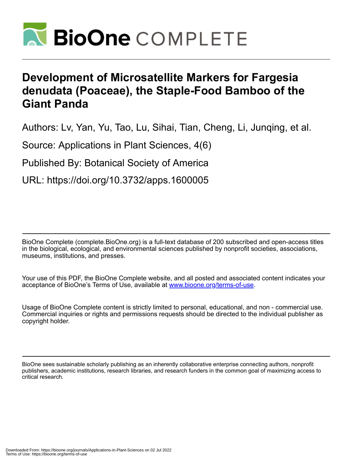

# **Development of Microsatellite Markers for Fargesia denudata (Poaceae), the Staple-Food Bamboo of the Giant Panda**

Authors: Lv, Yan, Yu, Tao, Lu, Sihai, Tian, Cheng, Li, Junqing, et al.

Source: Applications in Plant Sciences, 4(6)

Published By: Botanical Society of America

URL: https://doi.org/10.3732/apps.1600005

BioOne Complete (complete.BioOne.org) is a full-text database of 200 subscribed and open-access titles in the biological, ecological, and environmental sciences published by nonprofit societies, associations, museums, institutions, and presses.

Your use of this PDF, the BioOne Complete website, and all posted and associated content indicates your acceptance of BioOne's Terms of Use, available at www.bioone.org/terms-of-use.

Usage of BioOne Complete content is strictly limited to personal, educational, and non - commercial use. Commercial inquiries or rights and permissions requests should be directed to the individual publisher as copyright holder.

BioOne sees sustainable scholarly publishing as an inherently collaborative enterprise connecting authors, nonprofit publishers, academic institutions, research libraries, and research funders in the common goal of maximizing access to critical research.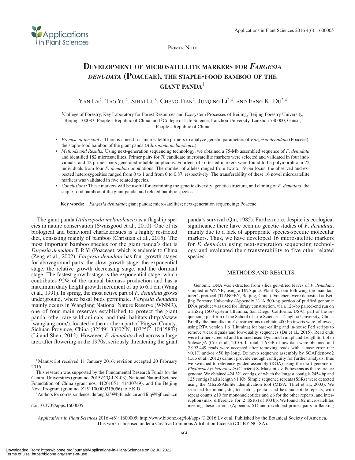

Primer Note

## **Development of microsatellite markers for** *Fargesia denudata* **(Poaceae), the staple-food bamboo of the giant panda**<sup>1</sup>

YAN Lv<sup>2</sup>, Tao Yu<sup>2</sup>, Sihai Lu<sup>3</sup>, Cheng Tian<sup>2</sup>, Junqing Li<sup>2,4</sup>, and Fang K. Du<sup>2,4</sup>

2College of Forestry, Key Laboratory for Forest Resources and Ecosystem Processes of Beijing, Beijing Forestry University, Beijing 100083, People's Republic of China; and 3College of Life Science, Lanzhou University, Lanzhou 730000, Gansu, People's Republic of China

- • *Premise of the study:* There is a need for microsatellite primers to analyze genetic parameters of *Fargesia denudata* (Poaceae), the staple-food bamboo of the giant panda (*Ailuropoda melanoleuca*).
- • *Methods and Results:* Using next-generation sequencing technology, we obtained a 75-Mb assembled sequence of *F. denudata* and identified 182 microsatellites. Primer pairs for 70 candidate microsatellite markers were selected and validated in four individuals, and 42 primer pairs generated reliable amplicons. Fourteen of 16 tested markers were found to be polymorphic in 72 individuals from four *F. denudata* populations. The number of alleles ranged from two to 19 per locus; the observed and expected heterozygosities ranged from 0 to 1 and from 0 to 0.87, respectively. The transferability of these 16 novel microsatellite markers was validated in five related species.
- Conclusions: These markers will be useful for examining the genetic diversity, genetic structure, and cloning of *F. denudata*, the staple-food bamboo of the giant panda, and related bamboo species.

**Key words:** *Fargesia denudata*; giant panda; microsatellites; next-generation sequencing; Poaceae.

The giant panda (*Ailuropoda melanoleuca*) is a flagship species in nature conservation (Swaisgood et al., 2010). One of its biological and behavioral characteristics is a highly restricted diet, consisting mainly of bamboo (Christian et al., 2015). The most important bamboo species for the giant panda's diet is *Fargesia denudata* T. P. Yi (Poaceae), which is endemic to China (Zeng et al., 2002). *Fargesia denudata* has four growth stages for aboveground parts: the slow growth stage, the exponential stage, the relative growth decreasing stage, and the dormant stage. The fastest growth stage is the exponential stage, which contributes 92% of the annual biomass production and has a maximum daily height growth increment of up to 6.1 cm (Wang et al., 1991). In spring, the most active part of *F. denudata* grows underground, where basal buds germinate. *Fargesia denudata* mainly occurs in Wanglang National Nature Reserve (WNNR), one of four main reserves established to protect the giant panda, other rare wild animals, and their habitats (http://www .wanglang.com/), located in the northern part of Pingwu County, Sichuan Province, China (32°49′–33°02′N, 103°50′–104°58′E) (Li and Shen, 2012). However, *F. denudata* died across a large area after flowering in the 1970s, seriously threatening the giant

<sup>1</sup>Manuscript received 11 January 2016; revision accepted 20 February 2016.

This research was supported by the Fundamental Research Funds for the Central Universities (grant no. 2015ZCQ-LX-03), National Natural Science Foundation of China (grant nos. 41201051, 41430749), and the Beijing Nova Program (grant no. Z151100000315056) to F.K.D.

4Authors for correspondence: dufang325@bjfu.edu.cn and lijq@bjfu.edu.cn

doi:10.3732/apps.1600005

panda's survival (Qin, 1985). Furthermore, despite its ecological significance there have been no genetic studies of *F. denudata*, mainly due to a lack of appropriate species-specific molecular markers. Thus, we have developed 16 microsatellite markers for *F. denudata* using next-generation sequencing technology and evaluated their transferability to five other related species.

#### METHODS AND RESULTS

Genomic DNA was extracted from silica gel–dried leaves of *F. denudata*, sampled in WNNR, using a DNAquick Plant System following the manufacturer's protocol (TIANGEN, Beijing, China). Vouchers were deposited at Beijing Forestry University (Appendix 1). A 500-ng portion of purified genomic DNA product was used for library construction, via a 126-bp paired-end run on a HiSeq 1500 system (Illumina, San Diego, California, USA), part of the sequencing platform of the School of Life Sciences, Tsinghua University, China. Briefly, the manufacturer's instructions to obtain 400-bp inserts were followed, using RTA version 1.6 (Illumina) for base-calling and in-house Perl scripts to remove weak signals and low-quality sequences (Du et al., 2015). Read ends were further screened and trimmed used DynamicTrim.pl and LengthSort.pl in SolexaQA (Cox et al., 2010). In total, 1.6 GB of raw data were obtained and 2,992,449 reads were accepted after removing reads with a base error rate >0.1% and/or <50 bp long. De novo sequence assembly by SOAPdenovo2 (Luo et al., 2012) cannot provide enough contiguity for further analysis, thus we switched to reference-guided assembly (RGA) using the draft genome of *Phyllostachys heterocycla* (Carrière) S. Matsum. cv. Pubescens as the reference genome. We obtained 424,321 contigs, of which the longest contig is 2454 bp and 125 contigs had a length >1 Kb. Simple sequence repeats (SSRs) were detected using the MIcroSAtellite identification tool (MISA; Thiel et al., 2003). We searched for mono-, di-, tri-, tetra-, penta-, and hexanucleotide repeats, with repeat counts ≥10 for mononucleotides and ≥6 for the other repeats, and interruption (max\_difference\_for\_2\_SSRs) of 100 bp. We found 182 microsatellites meeting these criteria [\(Appendix S1\)](http://www.bioone.org/doi/suppl/10.3732/apps.1600005/suppl_file/apps.1600005_s1.docx) and developed primer pairs in flanking

*Applications in Plant Sciences* 2016 4(6): 1600005; http://www.bioone.org/loi/apps © 2016 Lv et al. Published by the Botanical Society of America. This work is licensed under a Creative Commons Attribution License (CC-BY-NC-SA).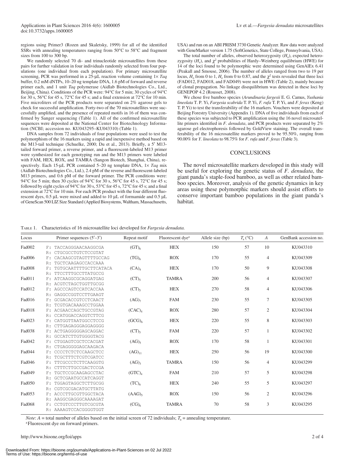regions using Primer3 (Rozen and Skaletsky, 1999) for all of the identified SSRs with annealing temperatures ranging from 50°C to 58°C and fragment sizes from 100 to 300 bp.

We randomly selected 70 di- and trinucleotide microsatellites from these pairs for further validation in four individuals randomly selected from four populations (one individual from each population). For primary microsatellite screening, PCR was performed in a 25-μL reaction volume containing 1× *Taq* buffer, 0.2 mM dNTPs, 10–20 ng template DNA, 1.6 pM of forward and reverse primer each, and 1 unit *Taq* polymerase (Aidlab Biotechnologies Co., Ltd., Beijing, China). Conditions of the PCR were: 94°C for 5 min; 30 cycles of 94°C for 30 s, 56°C for 45 s, 72°C for 45 s; and a final extension at 72°C for 10 min. Five microliters of the PCR products were separated on 2% agarose gels to check for successful amplification. Forty-two of the 70 microsatellites were successfully amplified, and the presence of repeated motifs in 16 of them was confirmed by Sanger sequencing (Table 1). All of the confirmed microsatellite sequences were deposited at the National Center for Biotechnology Information (NCBI; accession no. KU043295–KU043310) (Table 1).

DNA samples from 72 individuals of four populations were used to test the polymorphism of the 16 markers using a rapid and inexpensive method based on the M13-tail technique (Schuelke, 2000; Du et al., 2013). Briefly, a 5' M13tailed forward primer, a reverse primer, and a fluorescent-labeled M13 primer were synthesized for each genotyping run and the M13 primers were labeled with FAM, HEX, ROX, and TAMRA (Sangon Biotech, Shanghai, China), respectively. Each 15-μL PCR contained 5–20 ng template DNA, 1× *Taq* mix (Aidlab Biotechnologies Co., Ltd.), 2.4 pM of the reverse and fluorescent-labeled M13 primers, and 0.6 pM of the forward primer. The PCR conditions were: 94°C for 5 min; then 30 cycles of 94°C for 30 s, 56°C for 45 s, 72°C for 45 s; followed by eight cycles of 94°C for 30 s, 53°C for 45 s, 72°C for 45 s; and a final extension at 72°C for 10 min. For each PCR product with the four different fluorescent dyes, 0.5 μL were mixed and added to 10 μL of formamide and 0.5 μL of GeneScan 500 LIZ Size Standard (Applied Biosystems, Waltham, Massachusetts,

USA) and run on an ABI PRISM 3730 Genetic Analyzer. Raw data were analyzed with GeneMarker version 1.75 (SoftGenetics, State College, Pennsylvania, USA).

The total number of alleles, observed heterozygosity  $(H_0)$ , expected heterozygosity  $(H_e)$ , and  $\chi^2$  probabilities of Hardy–Weinberg equilibrium (HWE) for 14 of the loci found to be polymorphic were determined using GenAlEx 6.41 (Peakall and Smouse, 2006). The number of alleles ranged from two to 19 per locus,  $H_0$  from 0 to 1,  $H_e$  from 0 to 0.87, and the  $\chi^2$  tests revealed that three loci (FAD012, FAD018, and FAD049) were not in HWE (Table 2), mainly because of clonal propagation. No linkage disequilibrium was detected in these loci by GENEPOP 4.2 (Rousset, 2008).

We chose five bamboo species (*Arundinaria fargesii* E. G. Camus, *Yushania lineolata* T. P. Yi, *Fargesia scabrida* T. P. Yi, *F. rufa* T. P. Yi, and *F. ferax* (Keng) T. P. Yi) to test the transferability of the 16 markers. Vouchers were deposited at Beijing Forestry University (Appendix 1). DNA of five individuals from each of these species was subjected to PCR amplification using the 16 novel microsatellite primers identified in *F. denudata*, and PCR products were separated by 2% agarose gel electrophoresis followed by GoldView staining. The overall transferability of the 16 microsatellite markers proved to be 95.50%, ranging from 90.00% for *Y. lineolata* to 98.75% for *F. rufa* and *F. ferax* (Table 3).

#### **CONCLUSIONS**

The novel microsatellite markers developed in this study will be useful for exploring the genetic status of *F. denudata*, the giant panda's staple-food bamboo, as well as other related bamboo species. Moreover, analysis of the genetic dynamics in key areas using these polymorphic markers should assist efforts to conserve important bamboo populations in the giant panda's habitat.

#### Table 1. Characteristics of 16 microsatellite loci developed for *Fargesia denudata.*

| Locus  |       | Primer sequences $(5'–3')$ | Repeat motif       | Fluorescent dye <sup>a</sup> | Allele size (bp) | $T_{\rm a}$ (°C) | $\boldsymbol{A}$ | GenBank accession no. |
|--------|-------|----------------------------|--------------------|------------------------------|------------------|------------------|------------------|-----------------------|
| Fad002 |       | F: TACCAGGGAACAAGGCGA      | (GT) <sub>6</sub>  | <b>HEX</b>                   | 150              | 57               | 10               | KU043310              |
|        | R:    | CTGCGCCTGTCTCCGTAT         |                    |                              |                  |                  |                  |                       |
| Fad006 | F:    | CACAAGCGTAGTTTTGCCAG       | $(TG)_6$           | <b>ROX</b>                   | 170              | 55               | $\overline{4}$   | KU043309              |
|        | R:    | TGCTCAAGAGCCACCAAA         |                    |                              |                  |                  |                  |                       |
| Fad008 | $F$ : | TGTGCAATTTTGCTTCATACA      | (CA) <sub>4</sub>  | <b>HEX</b>                   | 170              | 50               | 9                | KU043308              |
|        | R:    | TTCCTTTGCCTTATGCCG         |                    |                              |                  |                  |                  |                       |
| Fad011 | F:    | ATCAAGGCGCAGGATGAG         | $(CT)_{5}$         | <b>TAMRA</b>                 | 200              | 56               | $\overline{4}$   | KU043307              |
|        |       | ACGTCTAGCTGGTTGCGG         |                    |                              |                  |                  |                  |                       |
| Fad012 | F:    | AGCCCAGTCCATCACCAA         | $(CT)_{5}$         | <b>HEX</b>                   | 270              | 58               | $\overline{4}$   | KU043306              |
|        |       | R: GAGGCCGGTCCTTGAAGT      |                    |                              |                  |                  |                  |                       |
| Fad016 | $F$ : | GCGACACCGTCCTCAACT         | (AG) <sub>7</sub>  | <b>FAM</b>                   | 230              | 55               | 7                | KU043305              |
|        | R:    | TCGTGACAAAGCCTGGAA         |                    |                              |                  |                  |                  |                       |
| Fad018 | F:    | ACGAACCAGCTGCCGTAG         | (CAC) <sub>4</sub> | <b>ROX</b>                   | 280              | 57               | $\mathfrak{2}$   | KU043304              |
|        | R:    | CCATGGACCAGGTCTTCG         |                    |                              |                  |                  |                  |                       |
| Fad023 | F:    | CATGGTTAATGGCCTCCG         | $(GCG)_6$          | <b>HEX</b>                   | 220              | 55               | 8                | KU043303              |
|        | R:    | CTTGAGAGGGAGGAGGGG         |                    |                              |                  |                  |                  |                       |
| Fad038 |       | F: ACTGAGGGGGAGCAGGAC      | $(CT)_{5}$         | <b>FAM</b>                   | 220              | 57               | 1                | KU043302              |
|        | R:    | GCCATCTTGTGGGGTACG         |                    |                              |                  |                  |                  |                       |
| Fad042 | F:    | CTGGAGTCGCTCCACGAT         | $(AG)_{5}$         | <b>ROX</b>                   | 170              | 58               | 1                | KU043301              |
|        |       | CTGAGGGGGAGCAAGACA         |                    |                              |                  |                  |                  |                       |
| Fad044 | F:    | CCCCTCTCTCCAAGCTCC         | $(AG)_{11}$        | <b>HEX</b>                   | 250              | 56               | 19               | KU043300              |
|        | R:    | TCGCTTTCTCGTCGATCC         |                    |                              |                  |                  |                  |                       |
| Fad046 | $F$ : | TTCGCCCTCTTCAAGGTG         | $(AG)_{3}$         | <b>TAMRA</b>                 | 150              | 56               | 4                | KU043299              |
|        | R:    | CTTTCTTGCCGACTCCGA         |                    |                              |                  |                  |                  |                       |
| Fad049 | $F$ : | TGCTCCGCAAGAGCCTAC         | $(GTC)_{4}$        | <b>FAM</b>                   | 210              | 57               | 5                | KU043298              |
|        | R:    | GCTCGAATGCCATCAGGT         |                    |                              |                  |                  |                  |                       |
| Fad050 | F:    | TGGAGTAGGCTCTTGCGG         | (TC) <sub>6</sub>  | <b>HEX</b>                   | 240              | 55               | 5                | KU043297              |
|        | R:    | CGTCGCGACATGCTTATG         |                    |                              |                  |                  |                  |                       |
| Fad053 | F:    | ACCCTTGCGTTGGCTACA         | (AAG)              | <b>ROX</b>                   | 150              | 56               | $\mathfrak{2}$   | KU043296              |
|        | R:    | AAGGCGAGGGCAAAAGAT         |                    |                              |                  |                  |                  |                       |
| Fad068 |       | CCTGTCCCTTGTCGCGTA         | (CG) <sub>6</sub>  | <b>TAMRA</b>                 | 70               | 58               | 3                | KU043295              |
|        |       | R: AAAAGTCCACGGGGTGGT      |                    |                              |                  |                  |                  |                       |

*Note*: *A* = total number of alleles based on the initial screen of 72 individuals;  $T_a$  = annealing temperature. <sup>a</sup>Fluorescent dye on forward primers.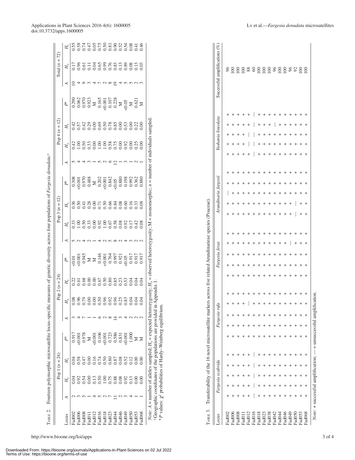|                            |              | Pop 1 ( $n = 24$ ) |                                                                                                     |  | Pop 2 ( $n = 24$ ) |                                                                                                                                                                                                                                                                                                                                                                         |                                           | Pop 3 ( $n = 12$ )                                                                                                                                                                                                                                                                                                                                                                                                             |                |   |             | $Pop 4 (n = 12)$                                                                                                                                                                                                                                                                                                                                                                                         |                                                                                                                                                                                                                                                                                                     |   | fotal $(n = 72)$                      |  |
|----------------------------|--------------|--------------------|-----------------------------------------------------------------------------------------------------|--|--------------------|-------------------------------------------------------------------------------------------------------------------------------------------------------------------------------------------------------------------------------------------------------------------------------------------------------------------------------------------------------------------------|-------------------------------------------|--------------------------------------------------------------------------------------------------------------------------------------------------------------------------------------------------------------------------------------------------------------------------------------------------------------------------------------------------------------------------------------------------------------------------------|----------------|---|-------------|----------------------------------------------------------------------------------------------------------------------------------------------------------------------------------------------------------------------------------------------------------------------------------------------------------------------------------------------------------------------------------------------------------|-----------------------------------------------------------------------------------------------------------------------------------------------------------------------------------------------------------------------------------------------------------------------------------------------------|---|---------------------------------------|--|
| ocus                       |              |                    |                                                                                                     |  |                    | $\mathbb{P}^{\circ}$                                                                                                                                                                                                                                                                                                                                                    | $H_{\circ}$                               |                                                                                                                                                                                                                                                                                                                                                                                                                                | P <sup>b</sup> | ₹ | $H_{\rm o}$ |                                                                                                                                                                                                                                                                                                                                                                                                          | $\mathbb{P}^{\text{b}}$                                                                                                                                                                                                                                                                             | ⋖ | $H_{\rm o}$                           |  |
| ad002                      |              | ).04               | 0.917                                                                                               |  |                    | $\begin{array}{r} \n\begin{array}{r}\n\text{16.01} \\ \text{10.02} \\ \text{10.03} \\ \text{11.03} \\ \text{12.04} \\ \text{13.05} \\ \text{14.07} \\ \text{15.08} \\ \text{16.09} \\ \text{17.01} \\ \text{18.01} \\ \text{19.01} \\ \text{10.031} \\ \text{11.031} \\ \text{13.031} \\ \text{14.031} \\ \text{15.031} \\ \text{16.031} \\ \text{17.031} \\ \text{18.$ |                                           | $\begin{array}{c c} \n\texttt{H} & \n\texttt{8} & \n\end{array} \n\begin{array}{l} \n\texttt{8} & \n\texttt{8} & \n\end{array} \n\begin{array}{l} \n\texttt{8} & \n\texttt{8} & \n\end{array} \n\begin{array}{l} \n\texttt{8} & \n\texttt{8} & \n\end{array} \n\begin{array}{l} \n\texttt{8} & \n\end{array} \n\begin{array}{l} \n\texttt{8} & \n\end{array} \n\end{array} \n\begin{array}{l} \n\texttt{8} & \n\end{array} \n$ |                |   |             | $\begin{array}{c}\n\mathbb{1} & \frac{1}{2} & \frac{1}{2} & \frac{1}{2} & \frac{1}{2} & \frac{1}{2} & \frac{1}{2} & \frac{1}{2} & \frac{1}{2} & \frac{1}{2} & \frac{1}{2} & \frac{1}{2} & \frac{1}{2} & \frac{1}{2} & \frac{1}{2} & \frac{1}{2} & \frac{1}{2} & \frac{1}{2} & \frac{1}{2} & \frac{1}{2} & \frac{1}{2} & \frac{1}{2} & \frac{1}{2} & \frac{1}{2} & \frac{1}{2} & \frac{1}{2} & \frac{1}{$ | $\begin{array}{r} 0.3888 \\ 0.3878 \\ 0.3973 \\ 0.398 \\ 0.399 \\ 0.399 \\ 0.399 \\ 0.399 \\ 0.399 \\ 0.399 \\ 0.399 \\ 0.399 \\ 0.399 \\ 0.399 \\ 0.339 \\ 0.339 \\ 0.339 \\ 0.339 \\ 0.339 \\ 0.339 \\ 0.339 \\ 0.339 \\ 0.339 \\ 0.339 \\ 0.339 \\ 0.339 \\ 0.339 \\ 0.339 \\ 0.339 \\ 0.339 \\$ |   |                                       |  |
| ad006                      |              |                    |                                                                                                     |  |                    |                                                                                                                                                                                                                                                                                                                                                                         |                                           |                                                                                                                                                                                                                                                                                                                                                                                                                                |                |   |             |                                                                                                                                                                                                                                                                                                                                                                                                          |                                                                                                                                                                                                                                                                                                     |   |                                       |  |
|                            | .54          |                    |                                                                                                     |  |                    |                                                                                                                                                                                                                                                                                                                                                                         |                                           |                                                                                                                                                                                                                                                                                                                                                                                                                                |                |   |             |                                                                                                                                                                                                                                                                                                                                                                                                          |                                                                                                                                                                                                                                                                                                     |   |                                       |  |
| 110p <sup>g</sup><br>800pg |              |                    |                                                                                                     |  |                    |                                                                                                                                                                                                                                                                                                                                                                         |                                           |                                                                                                                                                                                                                                                                                                                                                                                                                                |                |   |             |                                                                                                                                                                                                                                                                                                                                                                                                          |                                                                                                                                                                                                                                                                                                     |   |                                       |  |
|                            | 13           |                    |                                                                                                     |  |                    |                                                                                                                                                                                                                                                                                                                                                                         |                                           |                                                                                                                                                                                                                                                                                                                                                                                                                                |                |   |             |                                                                                                                                                                                                                                                                                                                                                                                                          |                                                                                                                                                                                                                                                                                                     |   |                                       |  |
| Pad016<br>Pad016           | .50          |                    | $\begin{array}{r} 0.001 \\ 0.978 \\ 1.001 \\ 0.106 \\ 0.106 \\ 0.723 \\ 0.586 \\ 0.331 \end{array}$ |  |                    |                                                                                                                                                                                                                                                                                                                                                                         | 33<br>336388858882543<br>3400000000000000 |                                                                                                                                                                                                                                                                                                                                                                                                                                |                |   |             |                                                                                                                                                                                                                                                                                                                                                                                                          |                                                                                                                                                                                                                                                                                                     |   | 1786113686238811<br>17861136862838811 |  |
| $\rm Fad018$               | 1.00         |                    |                                                                                                     |  |                    |                                                                                                                                                                                                                                                                                                                                                                         |                                           |                                                                                                                                                                                                                                                                                                                                                                                                                                |                |   |             |                                                                                                                                                                                                                                                                                                                                                                                                          |                                                                                                                                                                                                                                                                                                     |   |                                       |  |
| Fz0pa-                     | 0.75         |                    |                                                                                                     |  |                    |                                                                                                                                                                                                                                                                                                                                                                         |                                           |                                                                                                                                                                                                                                                                                                                                                                                                                                |                |   |             |                                                                                                                                                                                                                                                                                                                                                                                                          |                                                                                                                                                                                                                                                                                                     |   |                                       |  |
| POP <sup>3</sup>           |              |                    |                                                                                                     |  |                    |                                                                                                                                                                                                                                                                                                                                                                         |                                           |                                                                                                                                                                                                                                                                                                                                                                                                                                |                |   |             |                                                                                                                                                                                                                                                                                                                                                                                                          |                                                                                                                                                                                                                                                                                                     |   |                                       |  |
|                            | 0.08         |                    |                                                                                                     |  |                    |                                                                                                                                                                                                                                                                                                                                                                         |                                           |                                                                                                                                                                                                                                                                                                                                                                                                                                |                |   |             |                                                                                                                                                                                                                                                                                                                                                                                                          |                                                                                                                                                                                                                                                                                                     |   |                                       |  |
| 670pe.<br>970pe.           |              |                    | .0.001                                                                                              |  |                    |                                                                                                                                                                                                                                                                                                                                                                         |                                           |                                                                                                                                                                                                                                                                                                                                                                                                                                |                |   |             |                                                                                                                                                                                                                                                                                                                                                                                                          |                                                                                                                                                                                                                                                                                                     |   |                                       |  |
| ad <sub>050</sub>          | 0.92<br>0.13 |                    | 1.000                                                                                               |  |                    |                                                                                                                                                                                                                                                                                                                                                                         |                                           |                                                                                                                                                                                                                                                                                                                                                                                                                                |                |   |             |                                                                                                                                                                                                                                                                                                                                                                                                          |                                                                                                                                                                                                                                                                                                     |   |                                       |  |
| Fad053                     | $\approx$    | 0.00               |                                                                                                     |  |                    |                                                                                                                                                                                                                                                                                                                                                                         |                                           |                                                                                                                                                                                                                                                                                                                                                                                                                                |                |   |             |                                                                                                                                                                                                                                                                                                                                                                                                          |                                                                                                                                                                                                                                                                                                     |   |                                       |  |
| Fad068                     | 00(          | $\frac{8}{10}$     |                                                                                                     |  |                    |                                                                                                                                                                                                                                                                                                                                                                         |                                           |                                                                                                                                                                                                                                                                                                                                                                                                                                |                |   |             |                                                                                                                                                                                                                                                                                                                                                                                                          |                                                                                                                                                                                                                                                                                                     |   |                                       |  |

| $^{+}$<br>$^{+}$<br>$^{+}$<br>$^{+}$<br>$^{+}$<br>$^{+}$<br>$^{+}$<br>$^{+}$<br>$^{+}$<br>$^{+}$<br>$^{+}$<br>$^{+}$<br>$^{+}$<br>$^{+}$<br>0.00<br>0.00<br>0.50<br>0.80<br>0.85<br>0.53<br>0.22<br>0.68<br>$0.67$<br>0.23<br>0.04<br>0.61<br>0.04<br>0.04<br><i>Note:</i> $A =$ number of alleles sampled; $H_e =$ expected heterozygosity; $H_o$ <sup>a</sup> Geographic coordinates of the populations are provided in Appendix 1.<br>= unsuccessful amplification.<br>$^{+}$<br>$^{+}$<br>$^{+}$<br>$^{+}$<br>$^{+}$<br>$^{+}$<br>$^{+}$<br>$^{+}$<br>$^{+}$<br>$^{+}$<br>$^{+}$<br>$^{+}$<br>$^{+}$<br>$^{+}$<br>0.96<br>0.79<br>0.00<br>0.00<br>0.50<br>0.96<br>0.92<br>0.96<br>0.25<br>0.83<br>0.04<br>0.08<br>0.04<br>0.04<br>$+$<br>$^{+}$<br>$^{+}$<br>$^{+}$<br>$^{+}$<br>$^{+}$<br>$^{+}$<br>$^{+}$<br>Fargesia rufa<br>a Geographic coordinates of the populations are provided in<br>b P values: $\chi^2$ probabilities of Hardy-Weinberg equilibrium.<br>Transferability of the 16 novel microsatellite marke<br>3<br>4<br>७<br>$\sim$<br>$\infty$<br>츠<br>$\omega$ 4 $\omega$ 6 $\omega$ | $^{+}$<br>$^{+}$<br>$^{+}$<br>$^{+}$<br>$^{+}$<br>$^{+}$<br>$^{+}$<br>$^{+}$<br>$+$ $+$<br>0.146<br>0.764<br>$^{+}$<br>$^{+}$<br>$^{+}$<br>0.945<br>0.997<br>0.917<br>0.001<br>0.001<br>0.921<br>0.917<br>0.917<br>0.05<br>0.01<br>$\geq$<br>$\geq$<br>$^{+}$<br>$^{+}$<br>$^+$<br>$\,^+$<br>$^{+}$<br>$^{+}$<br>$\,^+$<br>$\,^+$<br>$\,^+$<br>$\,{}^+$<br>$^{+}$<br>$^+$<br>$^{+}$ | $^{+}$<br>$^{+}$<br>$^{+}$<br>$^{+}$<br>$^{+}$<br>$^{+}$<br>$^{+}$<br>$+$ $+$<br>$\ddot{}$<br>$\ddot{}$<br>$\,^+$<br>$^{+}$<br>$\sim$ $\sim$<br>4 2 4 4 5 5 6 7 4 6 5 6 7<br>$^{+}$<br>Fargesia ferax<br>$\,{}^+$<br>$^{+}$<br>$\,^+$<br>$^{+}$<br>÷ | $\overline{+}$<br>$^{+}$<br>$^{+}$<br>$^{+}$<br>$\overline{+}$<br>$^{+}$<br>$^{+}$<br>$^{+}$<br>$^{+}$<br>$^{+}$<br>$^{+}$<br>0.50<br>$1.00\,$<br>0.58<br>0.08<br>0.33<br>$1.00\,$<br>0.33<br>0.00<br>0.92<br>0.92<br>0.67<br>0.17<br>0.42<br>0.08<br>= observed heterozygosity; M | 0.50<br>0.00<br>$1.00\,$<br>$1.00\,$<br>0.00<br>0.00<br>1.00<br>0.33<br>0.58<br>0.75<br>0.92<br>0.25<br>0.00<br>0.42<br>$^{+}$<br>$^{+}$<br>$\,^+$<br>$^{+}$<br>$\,^+$<br>$^{+}$<br>$^{+}$<br>$^{+}$<br>$^{+}$<br>$^{+}$<br>$^{+}$<br>$^{+}$<br>$^{+}$<br>$^{+}$<br>$^{+}$<br>$^{+}$<br>$^{+}$<br>$^{+}$<br>$^{+}$<br>$^{+}$<br>$+$ $+$<br>$\,^+$<br>$^{+}$<br>$4w - wQ$<br>n<br>4<br>$\overline{\mathcal{C}}$<br>$\sim$<br>$\sim$<br>$^{+}$<br>$\,{}^+$<br>$\,^+$<br>$^{+}$<br>$^{+}$<br>$^{+}$<br>$^{+}$<br>$\,^+$<br>$\,^+$<br>$^{+}$<br>$\,^+$<br>$^{+}$<br>$^{+}$<br>Arundinaria fargesii<br>0.202<br>0.880<br>0.198<br>0.992<br>0.308<br>0.970<br>0.488<br>0.842<br>0.362<br>0.880<br>0.001<br>0.001<br>0.05<br>$\geq$<br>$^{+}$<br>$\,^+$<br>$\,{}^+$<br>$^+$<br>$^{+}$<br>$^{+}$<br>$^{+}$<br>$^{+}$<br>$^{+}$<br>$^{+}$<br>$^{+}$<br>$^{+}$<br>$^{+}$<br>$^{+}$<br>rs across five related Arundinarieae species (Poaceae)<br>0.50<br>0.50<br>0.66<br>0.60<br>0.16<br>0.28<br>0.00<br>0.84<br>0.08<br>0.33<br>0.08<br>0.36<br>0.71<br>0.41<br>$^{+}$<br>$^{+}$<br>$^{+}$<br>$^{+}$<br>$^{+}$<br>$^{+}$<br>$^{+}$<br>$^{+}$<br>$^{+}$<br>$^{+}$<br>$^{+}$ | Yushania lineolata<br>$=$ monomorphic; $n =$ number of individuals sampled<br>0.69<br>$0.50\,$<br>0.42<br>0.29<br>0.00<br>0.78<br>0.85<br>0.00<br>0.53<br>0.00<br>0.42<br>0.57<br>0.22<br>0.00<br>$\,^+$<br>$^{+}$<br>$^{+}$<br>$^{+}$<br>$\,{}^+$<br>$^{+}$<br>$^{+}$<br>$^{+}$<br>$^{+}$<br>$^{+}$<br>$^{+}$<br>$^{+}$<br>$\,^+$<br>$^{+}$<br>$^{+}$ | 0.970<br>0.165<br>0.228<br>0.062<br>0.923<br>0.107<br>0.290<br>50,001<br>0.621<br>0.05<br>$\geq$<br>Σ<br>Σ<br>$\geq$<br>$^{+}$<br>$^{+}$<br>$^{+}$<br>$^{+}$<br>$^{+}$<br>$^{+}$<br>$^{+}$<br>$^{+}$<br>$^{+}$<br>$^{+}$<br>$^{+}$<br>$+$ + | Successful amplifications (%)<br>oward softword<br>$\supseteq$<br>4 |  |
|----------------------------------------------------------------------------------------------------------------------------------------------------------------------------------------------------------------------------------------------------------------------------------------------------------------------------------------------------------------------------------------------------------------------------------------------------------------------------------------------------------------------------------------------------------------------------------------------------------------------------------------------------------------------------------------------------------------------------------------------------------------------------------------------------------------------------------------------------------------------------------------------------------------------------------------------------------------------------------------------------------------------------------------------------------------------------------------------------------|-------------------------------------------------------------------------------------------------------------------------------------------------------------------------------------------------------------------------------------------------------------------------------------------------------------------------------------------------------------------------------------|------------------------------------------------------------------------------------------------------------------------------------------------------------------------------------------------------------------------------------------------------|------------------------------------------------------------------------------------------------------------------------------------------------------------------------------------------------------------------------------------------------------------------------------------|------------------------------------------------------------------------------------------------------------------------------------------------------------------------------------------------------------------------------------------------------------------------------------------------------------------------------------------------------------------------------------------------------------------------------------------------------------------------------------------------------------------------------------------------------------------------------------------------------------------------------------------------------------------------------------------------------------------------------------------------------------------------------------------------------------------------------------------------------------------------------------------------------------------------------------------------------------------------------------------------------------------------------------------------------------------------------------------------------------------------------------------------------------------|--------------------------------------------------------------------------------------------------------------------------------------------------------------------------------------------------------------------------------------------------------------------------------------------------------------------------------------------------------|---------------------------------------------------------------------------------------------------------------------------------------------------------------------------------------------------------------------------------------------|---------------------------------------------------------------------|--|
| $H_{\rm e}$                                                                                                                                                                                                                                                                                                                                                                                                                                                                                                                                                                                                                                                                                                                                                                                                                                                                                                                                                                                                                                                                                              |                                                                                                                                                                                                                                                                                                                                                                                     |                                                                                                                                                                                                                                                      |                                                                                                                                                                                                                                                                                    |                                                                                                                                                                                                                                                                                                                                                                                                                                                                                                                                                                                                                                                                                                                                                                                                                                                                                                                                                                                                                                                                                                                                                                  |                                                                                                                                                                                                                                                                                                                                                        |                                                                                                                                                                                                                                             |                                                                     |  |
|                                                                                                                                                                                                                                                                                                                                                                                                                                                                                                                                                                                                                                                                                                                                                                                                                                                                                                                                                                                                                                                                                                          | Ê,                                                                                                                                                                                                                                                                                                                                                                                  | ↽                                                                                                                                                                                                                                                    | $H_{\rm o}$                                                                                                                                                                                                                                                                        | $H_{\rm o}$<br>₹<br>$\hat{P}$<br>$H_{\rm e}$                                                                                                                                                                                                                                                                                                                                                                                                                                                                                                                                                                                                                                                                                                                                                                                                                                                                                                                                                                                                                                                                                                                     | $H_{\rm e}$                                                                                                                                                                                                                                                                                                                                            | Å                                                                                                                                                                                                                                           | ↽                                                                   |  |
|                                                                                                                                                                                                                                                                                                                                                                                                                                                                                                                                                                                                                                                                                                                                                                                                                                                                                                                                                                                                                                                                                                          |                                                                                                                                                                                                                                                                                                                                                                                     |                                                                                                                                                                                                                                                      |                                                                                                                                                                                                                                                                                    |                                                                                                                                                                                                                                                                                                                                                                                                                                                                                                                                                                                                                                                                                                                                                                                                                                                                                                                                                                                                                                                                                                                                                                  |                                                                                                                                                                                                                                                                                                                                                        |                                                                                                                                                                                                                                             |                                                                     |  |
| Pop 3 ( $n = 12$ )                                                                                                                                                                                                                                                                                                                                                                                                                                                                                                                                                                                                                                                                                                                                                                                                                                                                                                                                                                                                                                                                                       |                                                                                                                                                                                                                                                                                                                                                                                     |                                                                                                                                                                                                                                                      |                                                                                                                                                                                                                                                                                    |                                                                                                                                                                                                                                                                                                                                                                                                                                                                                                                                                                                                                                                                                                                                                                                                                                                                                                                                                                                                                                                                                                                                                                  | Pop 4(n)                                                                                                                                                                                                                                                                                                                                               |                                                                                                                                                                                                                                             |                                                                     |  |
|                                                                                                                                                                                                                                                                                                                                                                                                                                                                                                                                                                                                                                                                                                                                                                                                                                                                                                                                                                                                                                                                                                          |                                                                                                                                                                                                                                                                                                                                                                                     |                                                                                                                                                                                                                                                      |                                                                                                                                                                                                                                                                                    |                                                                                                                                                                                                                                                                                                                                                                                                                                                                                                                                                                                                                                                                                                                                                                                                                                                                                                                                                                                                                                                                                                                                                                  | $\overline{5}$<br>$\begin{array}{c} \hline \end{array}$                                                                                                                                                                                                                                                                                                |                                                                                                                                                                                                                                             | Total $(n:$                                                         |  |

|            | ł            |
|------------|--------------|
|            |              |
|            |              |
| ŀ          | ֘֒           |
|            |              |
|            |              |
|            | <b>STOC</b>  |
|            |              |
|            | l            |
|            |              |
|            | åå           |
|            |              |
|            |              |
|            |              |
|            |              |
|            |              |
|            | . rund.      |
|            |              |
|            | d            |
|            |              |
|            |              |
|            |              |
|            | ä            |
|            |              |
|            | hva          |
|            |              |
|            |              |
|            | į            |
|            | ž<br>ł       |
|            | ì<br>l       |
|            |              |
|            |              |
|            | ś            |
|            | ׇ֚֬֡         |
|            | ֠            |
|            |              |
|            |              |
|            |              |
|            |              |
|            |              |
|            |              |
|            | Ï            |
|            |              |
|            | <b>POINT</b> |
|            |              |
|            |              |
|            |              |
|            | ï            |
|            |              |
|            | ł            |
|            | ł            |
|            |              |
|            | ĺ            |
|            |              |
|            | I<br>l       |
|            |              |
|            |              |
|            |              |
|            | i            |
|            | ;<br>;       |
|            |              |
|            |              |
|            |              |
|            | ranster      |
| ĺ          |              |
|            |              |
|            |              |
| $\epsilon$ | 5<br>v<br>ų  |
|            |              |

Downloaded From: https://bioone.org/journals/Applications-in-Plant-Sciences on 02 Jul 2022 Terms of Use: https://bioone.org/terms-of-use